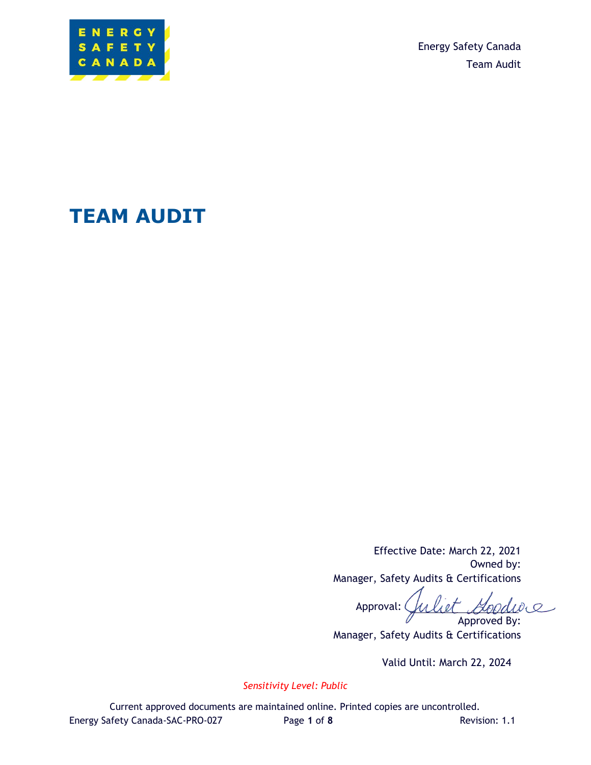

Energy Safety Canada Team Audit

# **TEAM AUDIT**

Effective Date: March 22, 2021 Owned by: Manager, Safety Audits & Certifications

Approved By: liet. Approval: (

Manager, Safety Audits & Certifications

Valid Until: March 22, 2024

*Sensitivity Level: Public*

Current approved documents are maintained online. Printed copies are uncontrolled. Energy Safety Canada-SAC-PRO-027 Page **1** of **8** Revision: 1.1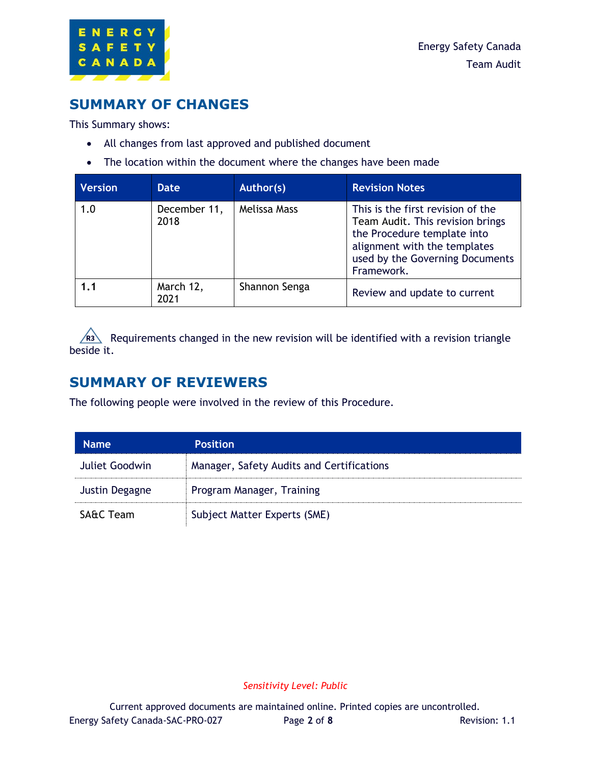

### **SUMMARY OF CHANGES**

This Summary shows:

- All changes from last approved and published document
- The location within the document where the changes have been made

| <b>Version</b> | Date                 | Author(s)     | <b>Revision Notes</b>                                                                                                                                                                 |
|----------------|----------------------|---------------|---------------------------------------------------------------------------------------------------------------------------------------------------------------------------------------|
| 1.0            | December 11,<br>2018 | Melissa Mass  | This is the first revision of the<br>Team Audit. This revision brings<br>the Procedure template into<br>alignment with the templates<br>used by the Governing Documents<br>Framework. |
| 1.1            | March 12,<br>2021    | Shannon Senga | Review and update to current                                                                                                                                                          |

Requirements changed in the new revision will be identified with a revision triangle beside it.

#### **SUMMARY OF REVIEWERS**

The following people were involved in the review of this Procedure.

| <b>Name</b>          | <b>Position</b>                           |
|----------------------|-------------------------------------------|
| Juliet Goodwin       | Manager, Safety Audits and Certifications |
| Justin Degagne       | Program Manager, Training                 |
| <b>SA&amp;C Team</b> | Subject Matter Experts (SME)              |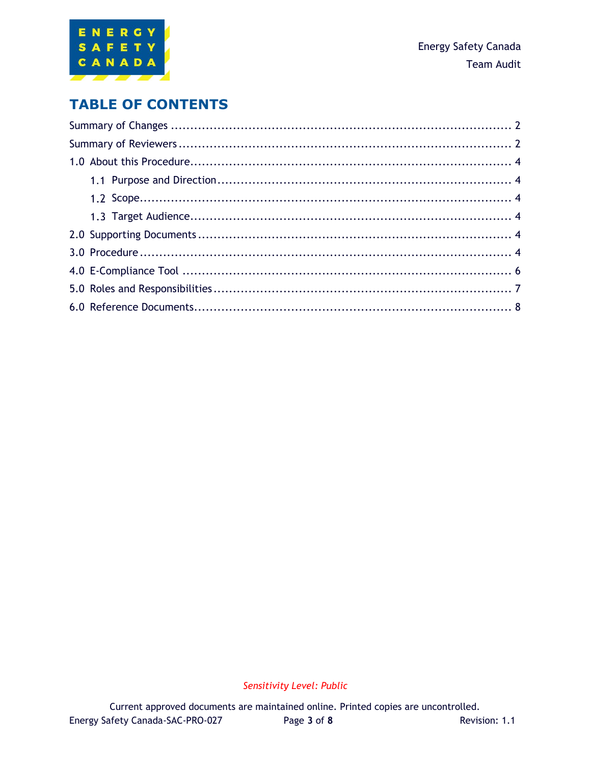

### **TABLE OF CONTENTS**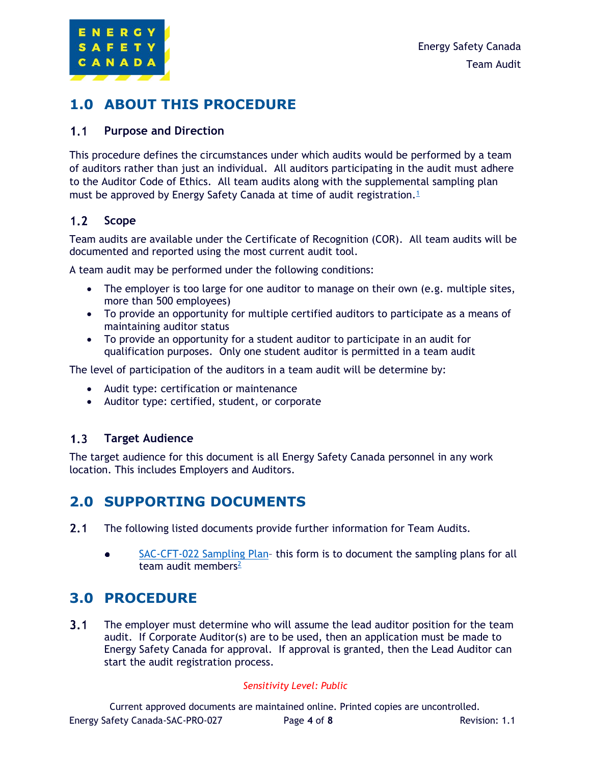

# **1.0 ABOUT THIS PROCEDURE**

#### $1.1$ **Purpose and Direction**

This procedure defines the circumstances under which audits would be performed by a team of auditors rather than just an individual. All auditors participating in the audit must adhere to the Auditor Code of Ethics. All team audits along with the supplemental sampling plan must be approved by Energy Safety Canada at time of audit registration.<sup>[1](#page-7-0)</sup>

#### $1.2$ **Scope**

Team audits are available under the Certificate of Recognition (COR). All team audits will be documented and reported using the most current audit tool.

A team audit may be performed under the following conditions:

- The employer is too large for one auditor to manage on their own (e.g. multiple sites, more than 500 employees)
- To provide an opportunity for multiple certified auditors to participate as a means of maintaining auditor status
- To provide an opportunity for a student auditor to participate in an audit for qualification purposes. Only one student auditor is permitted in a team audit

The level of participation of the auditors in a team audit will be determine by:

- Audit type: certification or maintenance
- Auditor type: certified, student, or corporate

#### $1.3<sub>1</sub>$ **Target Audience**

The target audience for this document is all Energy Safety Canada personnel in any work location. This includes Employers and Auditors.

### **2.0 SUPPORTING DOCUMENTS**

- $2.1$ The following listed documents provide further information for Team Audits.
	- SAC-CFT-022 [Sampling Plan](https://www.energysafetycanada.com/EnergySafetyCanada/media/ESC/COR/SAC-CFT-106-ESC-SamplingPlan.docx) this form is to document the sampling plans for all  $\bullet$ team audit members $2$

#### **3.0 PROCEDURE**

 $3.1$ The employer must determine who will assume the lead auditor position for the team audit. If Corporate Auditor(s) are to be used, then an application must be made to Energy Safety Canada for approval. If approval is granted, then the Lead Auditor can start the audit registration process.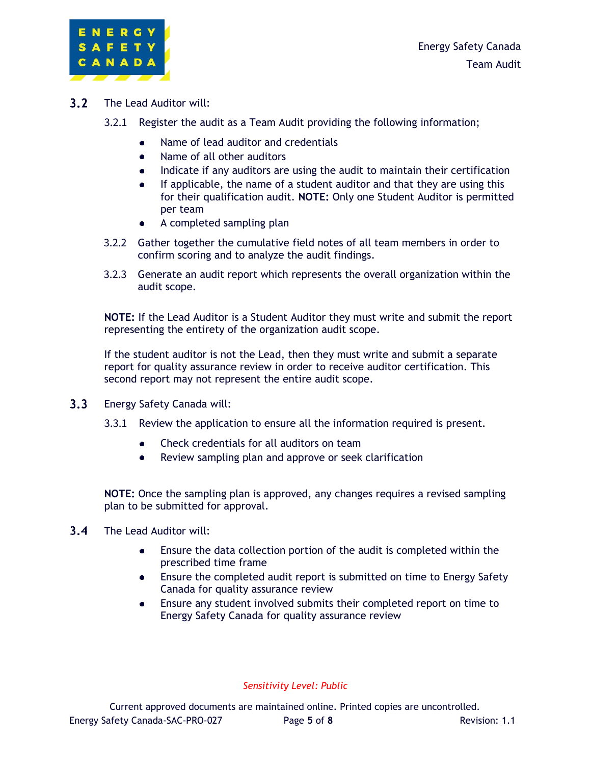

- $3.2<sub>1</sub>$ The Lead Auditor will:
	- 3.2.1 Register the audit as a Team Audit providing the following information;
		- Name of lead auditor and credentials
		- $\bullet$ Name of all other auditors
		- Indicate if any auditors are using the audit to maintain their certification  $\bullet$
		- If applicable, the name of a student auditor and that they are using this for their qualification audit. **NOTE:** Only one Student Auditor is permitted per team
		- A completed sampling plan
	- 3.2.2 Gather together the cumulative field notes of all team members in order to confirm scoring and to analyze the audit findings.
	- 3.2.3 Generate an audit report which represents the overall organization within the audit scope.

**NOTE:** If the Lead Auditor is a Student Auditor they must write and submit the report representing the entirety of the organization audit scope.

If the student auditor is not the Lead, then they must write and submit a separate report for quality assurance review in order to receive auditor certification. This second report may not represent the entire audit scope.

- $3.3<sub>1</sub>$ Energy Safety Canada will:
	- 3.3.1 Review the application to ensure all the information required is present.
		- Check credentials for all auditors on team
		- Review sampling plan and approve or seek clarification  $\bullet$

**NOTE:** Once the sampling plan is approved, any changes requires a revised sampling plan to be submitted for approval.

- $3.4$ The Lead Auditor will:
	- $\bullet$ Ensure the data collection portion of the audit is completed within the prescribed time frame
	- Ensure the completed audit report is submitted on time to Energy Safety Canada for quality assurance review
	- Ensure any student involved submits their completed report on time to Energy Safety Canada for quality assurance review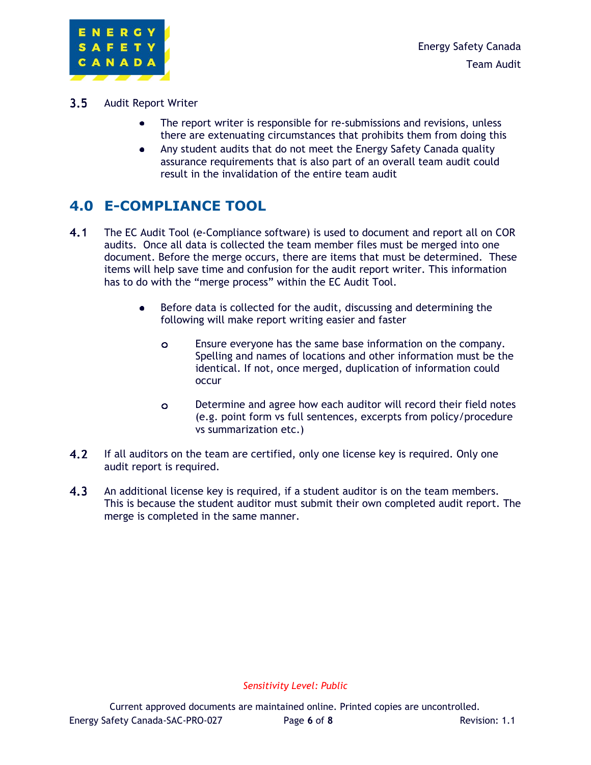

- $3.5<sub>1</sub>$ Audit Report Writer
	- $\bullet$ The report writer is responsible for re-submissions and revisions, unless there are extenuating circumstances that prohibits them from doing this
	- Any student audits that do not meet the Energy Safety Canada quality  $\bullet$ assurance requirements that is also part of an overall team audit could result in the invalidation of the entire team audit

# **4.0 E-COMPLIANCE TOOL**

- $4.1$ The EC Audit Tool (e-Compliance software) is used to document and report all on COR audits. Once all data is collected the team member files must be merged into one document. Before the merge occurs, there are items that must be determined. These items will help save time and confusion for the audit report writer. This information has to do with the "merge process" within the EC Audit Tool.
	- Before data is collected for the audit, discussing and determining the  $\bullet$ following will make report writing easier and faster
		- $\bullet$ Ensure everyone has the same base information on the company. Spelling and names of locations and other information must be the identical. If not, once merged, duplication of information could occur
		- Determine and agree how each auditor will record their field notes  $\bullet$ (e.g. point form vs full sentences, excerpts from policy/procedure vs summarization etc.)
- $4.2$ If all auditors on the team are certified, only one license key is required. Only one audit report is required.
- $4.3$ An additional license key is required, if a student auditor is on the team members. This is because the student auditor must submit their own completed audit report. The merge is completed in the same manner.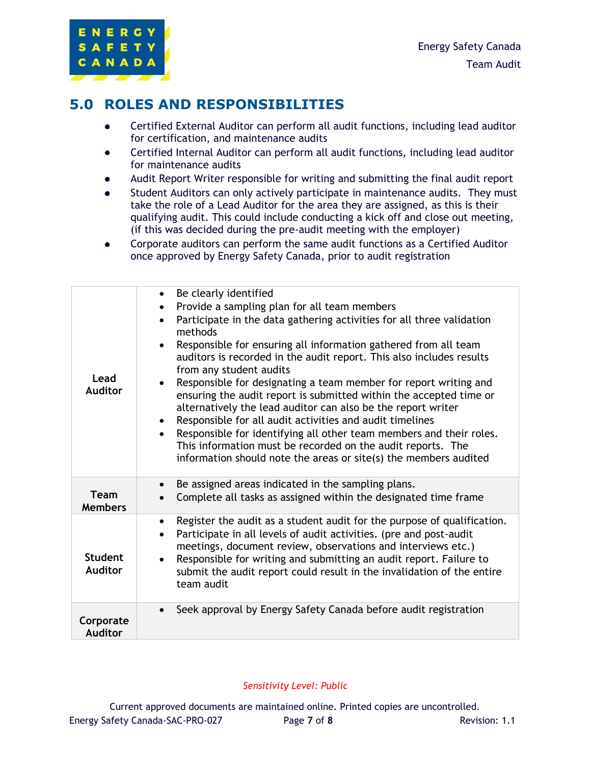#### **5.0 ROLES AND RESPONSIBILITIES**

- $\bullet$ Certified External Auditor can perform all audit functions, including lead auditor for certification, and maintenance audits
- Certified Internal Auditor can perform all audit functions, including lead auditor  $\bullet$ for maintenance audits
- Audit Report Writer responsible for writing and submitting the final audit report
- Student Auditors can only actively participate in maintenance audits. They must  $\bullet$ take the role of a Lead Auditor for the area they are assigned, as this is their qualifying audit. This could include conducting a kick off and close out meeting, (if this was decided during the pre-audit meeting with the employer)
- Corporate auditors can perform the same audit functions as a Certified Auditor  $\bullet$ once approved by Energy Safety Canada, prior to audit registration

| Lead<br><b>Auditor</b>           | Be clearly identified<br>$\bullet$<br>Provide a sampling plan for all team members<br>$\bullet$<br>Participate in the data gathering activities for all three validation<br>methods<br>Responsible for ensuring all information gathered from all team<br>auditors is recorded in the audit report. This also includes results<br>from any student audits<br>Responsible for designating a team member for report writing and<br>ensuring the audit report is submitted within the accepted time or<br>alternatively the lead auditor can also be the report writer<br>Responsible for all audit activities and audit timelines<br>Responsible for identifying all other team members and their roles.<br>This information must be recorded on the audit reports. The<br>information should note the areas or site(s) the members audited |  |
|----------------------------------|-------------------------------------------------------------------------------------------------------------------------------------------------------------------------------------------------------------------------------------------------------------------------------------------------------------------------------------------------------------------------------------------------------------------------------------------------------------------------------------------------------------------------------------------------------------------------------------------------------------------------------------------------------------------------------------------------------------------------------------------------------------------------------------------------------------------------------------------|--|
| <b>Team</b><br><b>Members</b>    | Be assigned areas indicated in the sampling plans.<br>$\bullet$<br>Complete all tasks as assigned within the designated time frame                                                                                                                                                                                                                                                                                                                                                                                                                                                                                                                                                                                                                                                                                                        |  |
| <b>Student</b><br><b>Auditor</b> | Register the audit as a student audit for the purpose of qualification.<br>$\bullet$<br>Participate in all levels of audit activities. (pre and post-audit<br>$\bullet$<br>meetings, document review, observations and interviews etc.)<br>Responsible for writing and submitting an audit report. Failure to<br>submit the audit report could result in the invalidation of the entire<br>team audit                                                                                                                                                                                                                                                                                                                                                                                                                                     |  |
| Corporate<br>Auditor             | Seek approval by Energy Safety Canada before audit registration                                                                                                                                                                                                                                                                                                                                                                                                                                                                                                                                                                                                                                                                                                                                                                           |  |